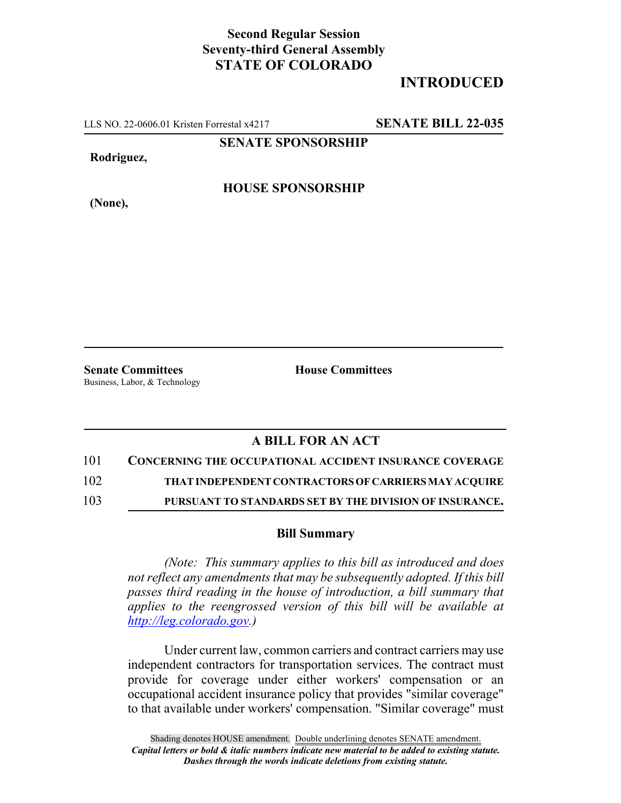## **Second Regular Session Seventy-third General Assembly STATE OF COLORADO**

## **INTRODUCED**

LLS NO. 22-0606.01 Kristen Forrestal x4217 **SENATE BILL 22-035**

**SENATE SPONSORSHIP**

**Rodriguez,**

**HOUSE SPONSORSHIP**

**(None),**

**Senate Committees House Committees** Business, Labor, & Technology

## **A BILL FOR AN ACT**

101 **CONCERNING THE OCCUPATIONAL ACCIDENT INSURANCE COVERAGE**

102 **THAT INDEPENDENT CONTRACTORS OF CARRIERS MAY ACQUIRE**

103 **PURSUANT TO STANDARDS SET BY THE DIVISION OF INSURANCE.**

## **Bill Summary**

*(Note: This summary applies to this bill as introduced and does not reflect any amendments that may be subsequently adopted. If this bill passes third reading in the house of introduction, a bill summary that applies to the reengrossed version of this bill will be available at http://leg.colorado.gov.)*

Under current law, common carriers and contract carriers may use independent contractors for transportation services. The contract must provide for coverage under either workers' compensation or an occupational accident insurance policy that provides "similar coverage" to that available under workers' compensation. "Similar coverage" must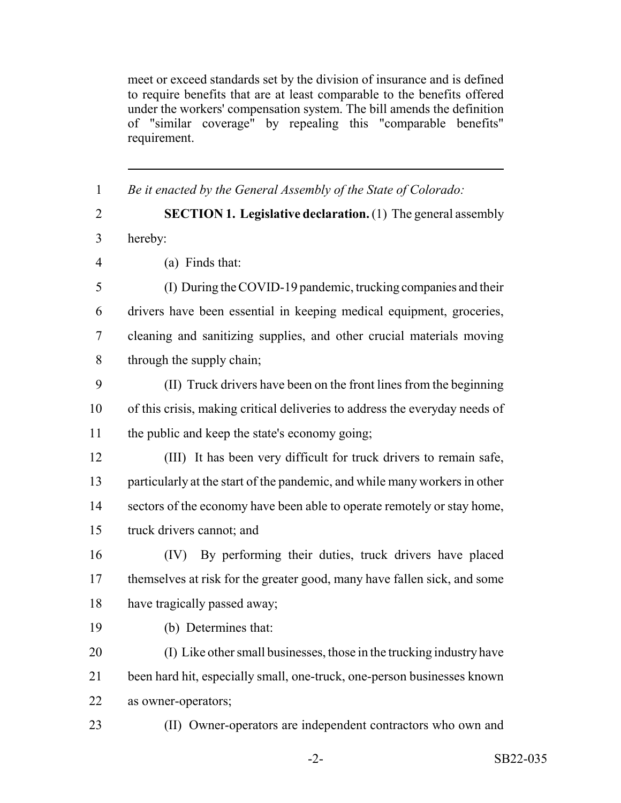meet or exceed standards set by the division of insurance and is defined to require benefits that are at least comparable to the benefits offered under the workers' compensation system. The bill amends the definition of "similar coverage" by repealing this "comparable benefits" requirement.

 *Be it enacted by the General Assembly of the State of Colorado:* **SECTION 1. Legislative declaration.** (1) The general assembly hereby: (a) Finds that: (I) During the COVID-19 pandemic, trucking companies and their drivers have been essential in keeping medical equipment, groceries, cleaning and sanitizing supplies, and other crucial materials moving through the supply chain; (II) Truck drivers have been on the front lines from the beginning of this crisis, making critical deliveries to address the everyday needs of the public and keep the state's economy going; (III) It has been very difficult for truck drivers to remain safe, particularly at the start of the pandemic, and while many workers in other 14 sectors of the economy have been able to operate remotely or stay home, truck drivers cannot; and (IV) By performing their duties, truck drivers have placed 17 themselves at risk for the greater good, many have fallen sick, and some have tragically passed away; (b) Determines that: (I) Like other small businesses, those in the trucking industry have been hard hit, especially small, one-truck, one-person businesses known as owner-operators; (II) Owner-operators are independent contractors who own and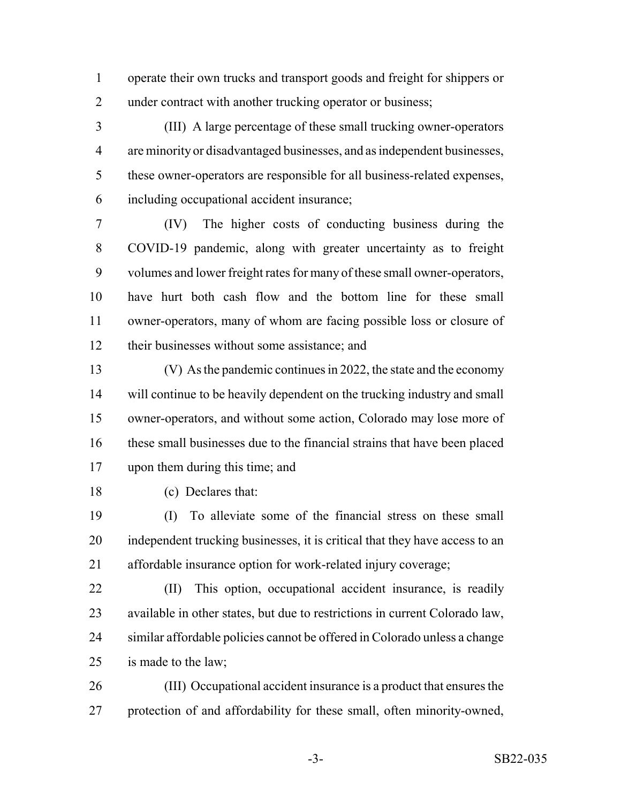operate their own trucks and transport goods and freight for shippers or 2 under contract with another trucking operator or business;

 (III) A large percentage of these small trucking owner-operators are minority or disadvantaged businesses, and as independent businesses, these owner-operators are responsible for all business-related expenses, including occupational accident insurance;

 (IV) The higher costs of conducting business during the COVID-19 pandemic, along with greater uncertainty as to freight volumes and lower freight rates for many of these small owner-operators, have hurt both cash flow and the bottom line for these small owner-operators, many of whom are facing possible loss or closure of their businesses without some assistance; and

 (V) As the pandemic continues in 2022, the state and the economy will continue to be heavily dependent on the trucking industry and small owner-operators, and without some action, Colorado may lose more of these small businesses due to the financial strains that have been placed upon them during this time; and

(c) Declares that:

 (I) To alleviate some of the financial stress on these small independent trucking businesses, it is critical that they have access to an affordable insurance option for work-related injury coverage;

 (II) This option, occupational accident insurance, is readily available in other states, but due to restrictions in current Colorado law, similar affordable policies cannot be offered in Colorado unless a change is made to the law;

 (III) Occupational accident insurance is a product that ensures the protection of and affordability for these small, often minority-owned,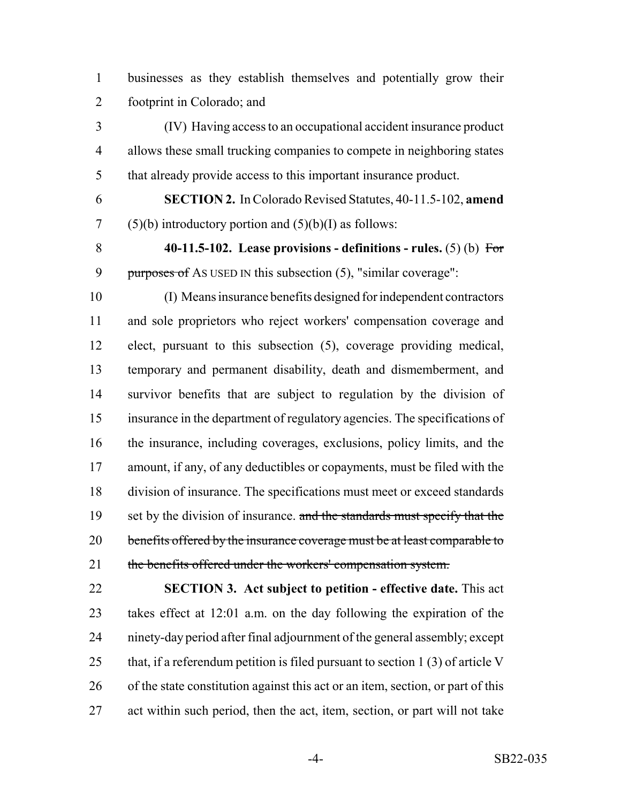businesses as they establish themselves and potentially grow their footprint in Colorado; and

 (IV) Having access to an occupational accident insurance product allows these small trucking companies to compete in neighboring states that already provide access to this important insurance product.

 **SECTION 2.** In Colorado Revised Statutes, 40-11.5-102, **amend** 7 (5)(b) introductory portion and  $(5)(b)(I)$  as follows:

 **40-11.5-102. Lease provisions - definitions - rules.** (5) (b) For 9 purposes of As USED IN this subsection  $(5)$ , "similar coverage":

 (I) Means insurance benefits designed for independent contractors and sole proprietors who reject workers' compensation coverage and elect, pursuant to this subsection (5), coverage providing medical, temporary and permanent disability, death and dismemberment, and survivor benefits that are subject to regulation by the division of insurance in the department of regulatory agencies. The specifications of the insurance, including coverages, exclusions, policy limits, and the amount, if any, of any deductibles or copayments, must be filed with the division of insurance. The specifications must meet or exceed standards 19 set by the division of insurance. and the standards must specify that the 20 benefits offered by the insurance coverage must be at least comparable to 21 the benefits offered under the workers' compensation system.

 **SECTION 3. Act subject to petition - effective date.** This act takes effect at 12:01 a.m. on the day following the expiration of the ninety-day period after final adjournment of the general assembly; except 25 that, if a referendum petition is filed pursuant to section 1 (3) of article V of the state constitution against this act or an item, section, or part of this act within such period, then the act, item, section, or part will not take